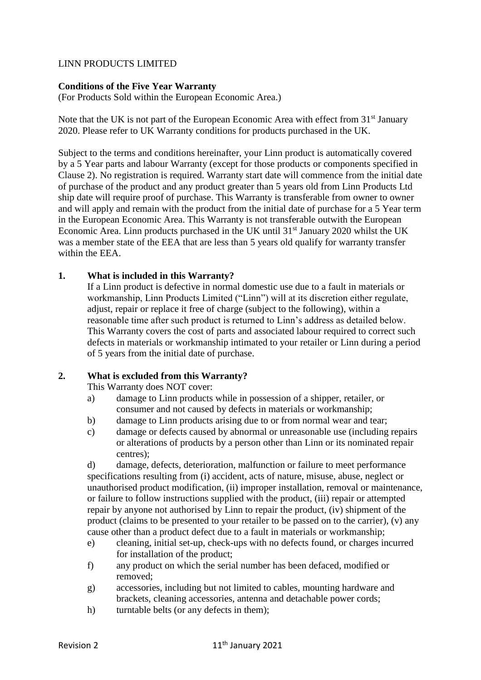# LINN PRODUCTS LIMITED

# **Conditions of the Five Year Warranty**

(For Products Sold within the European Economic Area.)

Note that the UK is not part of the European Economic Area with effect from 31<sup>st</sup> January 2020. Please refer to UK Warranty conditions for products purchased in the UK.

Subject to the terms and conditions hereinafter, your Linn product is automatically covered by a 5 Year parts and labour Warranty (except for those products or components specified in Clause 2). No registration is required. Warranty start date will commence from the initial date of purchase of the product and any product greater than 5 years old from Linn Products Ltd ship date will require proof of purchase. This Warranty is transferable from owner to owner and will apply and remain with the product from the initial date of purchase for a 5 Year term in the European Economic Area. This Warranty is not transferable outwith the European Economic Area. Linn products purchased in the UK until  $31<sup>st</sup>$  January 2020 whilst the UK was a member state of the EEA that are less than 5 years old qualify for warranty transfer within the EEA.

#### **1. What is included in this Warranty?**

If a Linn product is defective in normal domestic use due to a fault in materials or workmanship, Linn Products Limited ("Linn") will at its discretion either regulate, adjust, repair or replace it free of charge (subject to the following), within a reasonable time after such product is returned to Linn's address as detailed below. This Warranty covers the cost of parts and associated labour required to correct such defects in materials or workmanship intimated to your retailer or Linn during a period of 5 years from the initial date of purchase.

#### **2. What is excluded from this Warranty?**

This Warranty does NOT cover:

- a) damage to Linn products while in possession of a shipper, retailer, or consumer and not caused by defects in materials or workmanship;
- b) damage to Linn products arising due to or from normal wear and tear;
- c) damage or defects caused by abnormal or unreasonable use (including repairs or alterations of products by a person other than Linn or its nominated repair centres);

d) damage, defects, deterioration, malfunction or failure to meet performance specifications resulting from (i) accident, acts of nature, misuse, abuse, neglect or unauthorised product modification, (ii) improper installation, removal or maintenance, or failure to follow instructions supplied with the product, (iii) repair or attempted repair by anyone not authorised by Linn to repair the product, (iv) shipment of the product (claims to be presented to your retailer to be passed on to the carrier), (v) any cause other than a product defect due to a fault in materials or workmanship;

- e) cleaning, initial set-up, check-ups with no defects found, or charges incurred for installation of the product;
- f) any product on which the serial number has been defaced, modified or removed;
- g) accessories, including but not limited to cables, mounting hardware and brackets, cleaning accessories, antenna and detachable power cords;
- h) turntable belts (or any defects in them);